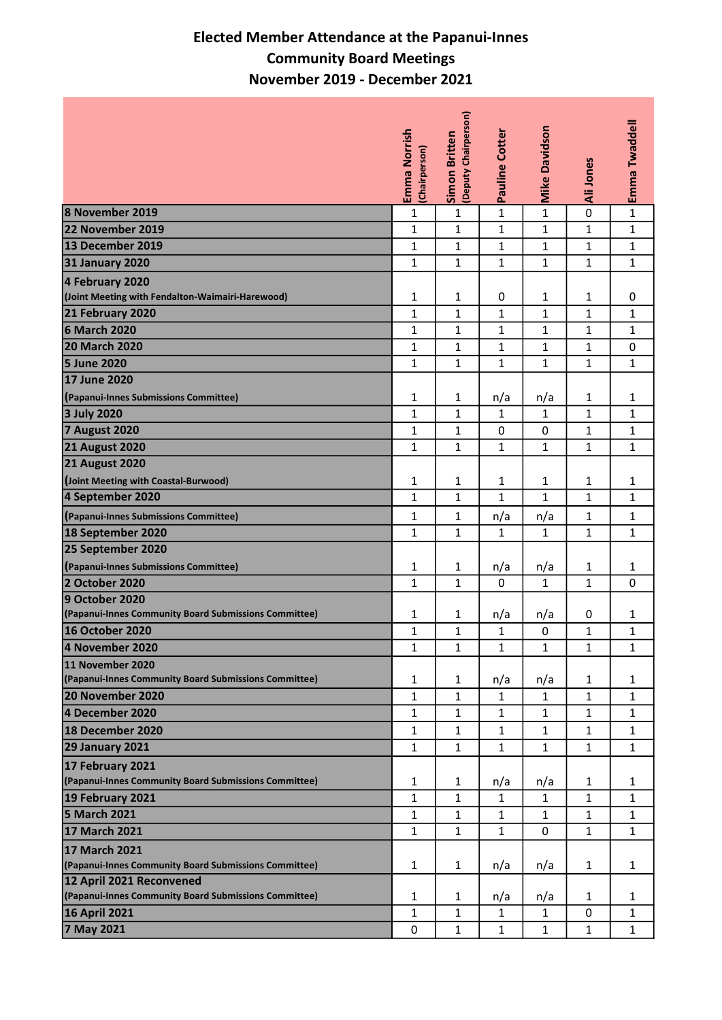## Elected Member Attendance at the Papanui-Innes Community Board Meetings November 2019 - December 2021

|                                                       |                               | (Deputy Chairperson) |                |                      |              | Emma Twaddell |
|-------------------------------------------------------|-------------------------------|----------------------|----------------|----------------------|--------------|---------------|
|                                                       | Emma Norrish<br>(Chairperson) | <b>Simon Britten</b> | Pauline Cotter | <b>Mike Davidson</b> | Ali Jones    |               |
| 8 November 2019                                       | $\mathbf{1}$                  | $\mathbf{1}$         | 1              | $\mathbf{1}$         | 0            | $\mathbf{1}$  |
| 22 November 2019                                      | $\mathbf{1}$                  | 1                    | $\mathbf{1}$   | $\mathbf{1}$         | $\mathbf{1}$ | 1             |
| 13 December 2019                                      | $\mathbf{1}$                  | $\mathbf{1}$         | 1              | $\mathbf{1}$         | $\mathbf{1}$ | $\mathbf 1$   |
| <b>31 January 2020</b>                                | $\mathbf{1}$                  | $\mathbf{1}$         | 1              | $\mathbf{1}$         | $\mathbf{1}$ | $\mathbf 1$   |
| 4 February 2020                                       |                               |                      |                |                      |              |               |
| (Joint Meeting with Fendalton-Waimairi-Harewood)      | 1                             | 1                    | 0              | 1                    | 1            | 0             |
| 21 February 2020                                      | $\mathbf{1}$                  | $\mathbf{1}$         | 1              | $\mathbf{1}$         | $\mathbf{1}$ | $\mathbf 1$   |
| 6 March 2020                                          | $\mathbf 1$                   | $\mathbf 1$          | 1              | $\mathbf{1}$         | $\mathbf{1}$ | 1             |
| <b>20 March 2020</b>                                  | $\mathbf 1$                   | 1                    | 1              | $\mathbf{1}$         | $\mathbf{1}$ | 0             |
| <b>5 June 2020</b>                                    | $\mathbf{1}$                  | 1                    | $\mathbf{1}$   | $\mathbf{1}$         | $\mathbf{1}$ | $\mathbf{1}$  |
| 17 June 2020                                          |                               |                      |                |                      |              |               |
| (Papanui-Innes Submissions Committee)                 | $\mathbf 1$                   | $\mathbf{1}$         | n/a            | n/a                  | $\mathbf{1}$ | 1             |
| <b>3 July 2020</b>                                    | $\mathbf{1}$                  | $\mathbf{1}$         | 1              | $\mathbf{1}$         | $\mathbf{1}$ | $\mathbf{1}$  |
| <b>7 August 2020</b>                                  | $\mathbf 1$                   | $\mathbf{1}$         | 0              | 0                    | $\mathbf{1}$ | $\mathbf{1}$  |
| <b>21 August 2020</b>                                 | $\mathbf{1}$                  | $\mathbf{1}$         | 1              | $\mathbf{1}$         | $\mathbf{1}$ | $\mathbf{1}$  |
| <b>21 August 2020</b>                                 |                               |                      |                |                      |              |               |
| (Joint Meeting with Coastal-Burwood)                  | $\mathbf{1}$                  | $\mathbf{1}$         | 1              | $\mathbf{1}$         | 1            | 1             |
| 4 September 2020                                      | 1                             | $\mathbf{1}$         | 1              | $\mathbf{1}$         | $\mathbf{1}$ | 1             |
| (Papanui-Innes Submissions Committee)                 | $\mathbf{1}$                  | $\mathbf{1}$         | n/a            | n/a                  | $\mathbf{1}$ | 1             |
| 18 September 2020                                     | $\mathbf{1}$                  | $\mathbf{1}$         | 1              | $\mathbf{1}$         | $\mathbf{1}$ | $\mathbf{1}$  |
| 25 September 2020                                     |                               |                      |                |                      |              |               |
| (Papanui-Innes Submissions Committee)                 | 1                             | $\mathbf{1}$         | n/a            | n/a                  | 1            | $\mathbf{1}$  |
| 2 October 2020                                        | $\mathbf{1}$                  | $\mathbf{1}$         | 0              | $\mathbf{1}$         | $\mathbf{1}$ | 0             |
| 9 October 2020                                        |                               |                      |                |                      |              |               |
| (Papanui-Innes Community Board Submissions Committee) | 1                             | $\mathbf{1}$         | n/a            | n/a                  | 0            | 1             |
| <b>16 October 2020</b>                                | $\mathbf 1$                   | $\mathbf{1}$         | 1              | $\pmb{0}$            | $\mathbf{1}$ | 1             |
| 4 November 2020                                       | 1                             | $\mathbf 1$          | 1              | $\mathbf 1$          | $\mathbf{1}$ | 1             |
| 11 November 2020                                      |                               |                      |                |                      |              |               |
| (Papanui-Innes Community Board Submissions Committee) | 1                             | $\mathbf{1}$         | n/a            | n/a                  | 1            | 1             |
| 20 November 2020                                      | $\mathbf{1}$                  | $\mathbf{1}$         | $\mathbf{1}$   | $\mathbf{1}$         | $\mathbf{1}$ | $\mathbf{1}$  |
| 4 December 2020                                       | $\mathbf{1}$                  | $\mathbf{1}$         | $\mathbf 1$    | $\mathbf{1}$         | $\mathbf{1}$ | $\mathbf{1}$  |
| 18 December 2020                                      | 1                             | $\mathbf{1}$         | 1              | 1                    | 1            | 1             |
| <b>29 January 2021</b>                                | $\mathbf{1}$                  | 1                    | $\mathbf{1}$   | $\mathbf{1}$         | $\mathbf{1}$ | $\mathbf{1}$  |
| 17 February 2021                                      |                               |                      |                |                      |              |               |
| (Papanui-Innes Community Board Submissions Committee) | 1                             | $\mathbf{1}$         | n/a            | n/a                  | 1            | 1             |
| 19 February 2021                                      | $\mathbf{1}$                  | $\mathbf{1}$         | $\mathbf{1}$   | $\mathbf{1}$         | $\mathbf{1}$ | $\mathbf{1}$  |
| 5 March 2021                                          | $\mathbf{1}$                  | $\mathbf{1}$         | $\mathbf{1}$   | $\mathbf{1}$         | $\mathbf{1}$ | $\mathbf{1}$  |
| 17 March 2021                                         | $\mathbf{1}$                  | $\mathbf{1}$         | 1              | 0                    | $\mathbf{1}$ | 1             |
| <b>17 March 2021</b>                                  |                               |                      |                |                      |              |               |
| (Papanui-Innes Community Board Submissions Committee) | $\mathbf{1}$                  | $\mathbf{1}$         | n/a            | n/a                  | 1            | $\mathbf{1}$  |
| 12 April 2021 Reconvened                              |                               |                      |                |                      |              |               |
| (Papanui-Innes Community Board Submissions Committee) | 1                             | 1                    | n/a            | n/a                  | 1            | 1             |
| 16 April 2021                                         | $\mathbf 1$                   | 1                    | 1              | $\mathbf{1}$         | 0            | 1             |
| 7 May 2021                                            | 0                             | 1                    | 1              | $\mathbf{1}$         | $\mathbf{1}$ | 1             |
|                                                       |                               |                      |                |                      |              |               |